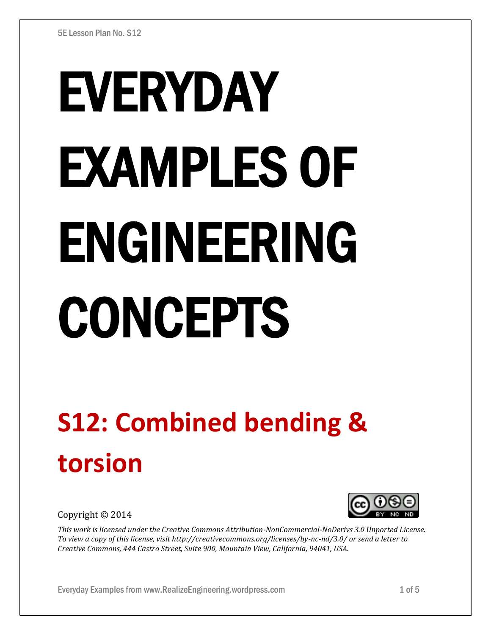# EVERYDAY EXAMPLES OF ENGINEERING CONCEPTS

## **S12: Combined bending & torsion**

Copyright © 2014



*This work is licensed under the Creative Commons Attribution-NonCommercial-NoDerivs 3.0 Unported License. To view a copy of this license, visit http://creativecommons.org/licenses/by-nc-nd/3.0/ or send a letter to Creative Commons, 444 Castro Street, Suite 900, Mountain View, California, 94041, USA.*

Everyday Examples from www.RealizeEngineering.wordpress.com 1 of 5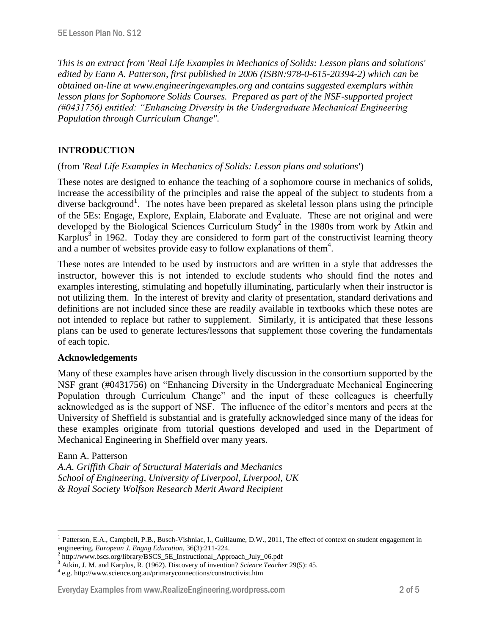*This is an extract from 'Real Life Examples in Mechanics of Solids: Lesson plans and solutions' edited by Eann A. Patterson, first published in 2006 (ISBN:978-0-615-20394-2) which can be obtained on-line at www.engineeringexamples.org and contains suggested exemplars within lesson plans for Sophomore Solids Courses. Prepared as part of the NSF-supported project (#0431756) entitled: "Enhancing Diversity in the Undergraduate Mechanical Engineering Population through Curriculum Change".* 

#### **INTRODUCTION**

#### (from *'Real Life Examples in Mechanics of Solids: Lesson plans and solutions'*)

These notes are designed to enhance the teaching of a sophomore course in mechanics of solids, increase the accessibility of the principles and raise the appeal of the subject to students from a diverse background<sup>1</sup>. The notes have been prepared as skeletal lesson plans using the principle of the 5Es: Engage, Explore, Explain, Elaborate and Evaluate. These are not original and were developed by the Biological Sciences Curriculum Study<sup>2</sup> in the 1980s from work by Atkin and Karplus<sup>3</sup> in 1962. Today they are considered to form part of the constructivist learning theory and a number of websites provide easy to follow explanations of them<sup>4</sup>.

These notes are intended to be used by instructors and are written in a style that addresses the instructor, however this is not intended to exclude students who should find the notes and examples interesting, stimulating and hopefully illuminating, particularly when their instructor is not utilizing them. In the interest of brevity and clarity of presentation, standard derivations and definitions are not included since these are readily available in textbooks which these notes are not intended to replace but rather to supplement. Similarly, it is anticipated that these lessons plans can be used to generate lectures/lessons that supplement those covering the fundamentals of each topic.

#### **Acknowledgements**

Many of these examples have arisen through lively discussion in the consortium supported by the NSF grant (#0431756) on "Enhancing Diversity in the Undergraduate Mechanical Engineering Population through Curriculum Change" and the input of these colleagues is cheerfully acknowledged as is the support of NSF. The influence of the editor's mentors and peers at the University of Sheffield is substantial and is gratefully acknowledged since many of the ideas for these examples originate from tutorial questions developed and used in the Department of Mechanical Engineering in Sheffield over many years.

#### Eann A. Patterson

 $\overline{a}$ 

*A.A. Griffith Chair of Structural Materials and Mechanics School of Engineering, University of Liverpool, Liverpool, UK & Royal Society Wolfson Research Merit Award Recipient*

#### Everyday Examples from www.RealizeEngineering.wordpress.com 2 of 5

<sup>1</sup> Patterson, E.A., Campbell, P.B., Busch-Vishniac, I., Guillaume, D.W., 2011, The effect of context on student engagement in engineering, *European J. Engng Education*, 36(3):211-224.

<sup>&</sup>lt;sup>2</sup> http://www.bscs.org/library/BSCS\_5E\_Instructional\_Approach\_July\_06.pdf

<sup>3</sup> Atkin, J. M. and Karplus, R. (1962). Discovery of invention? *Science Teacher* 29(5): 45.

<sup>4</sup> e.g. http://www.science.org.au/primaryconnections/constructivist.htm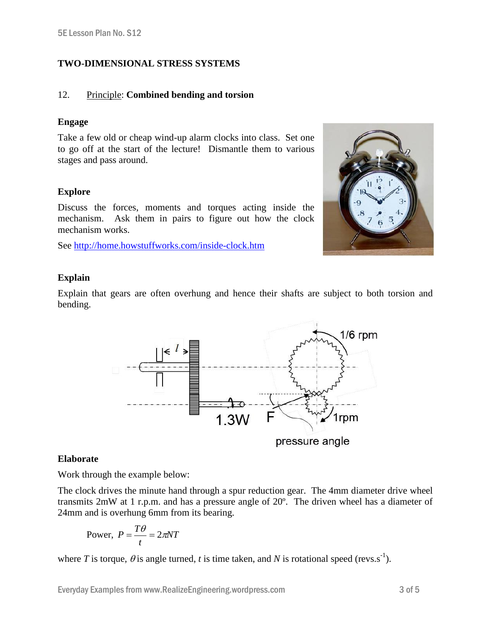### **TWO-DIMENSIONAL STRESS SYSTEMS**

#### 12. Principle: **Combined bending and torsion**

#### **Engage**

Take a few old or cheap wind-up alarm clocks into class. Set one to go off at the start of the lecture! Dismantle them to various stages and pass around.

#### **Explore**

Discuss the forces, moments and torques acting inside the mechanism. Ask them in pairs to figure out how the clock mechanism works.

See<http://home.howstuffworks.com/inside-clock.htm>



#### **Explain**

Explain that gears are often overhung and hence their shafts are subject to both torsion and bending.



#### **Elaborate**

Work through the example below:

The clock drives the minute hand through a spur reduction gear. The 4mm diameter drive wheel transmits 2mW at 1 r.p.m. and has a pressure angle of 20º. The driven wheel has a diameter of 24mm and is overhung 6mm from its bearing.

Power, 
$$
P = \frac{T\theta}{t} = 2\pi NT
$$

where *T* is torque,  $\theta$  is angle turned, *t* is time taken, and *N* is rotational speed (revs.s<sup>-1</sup>).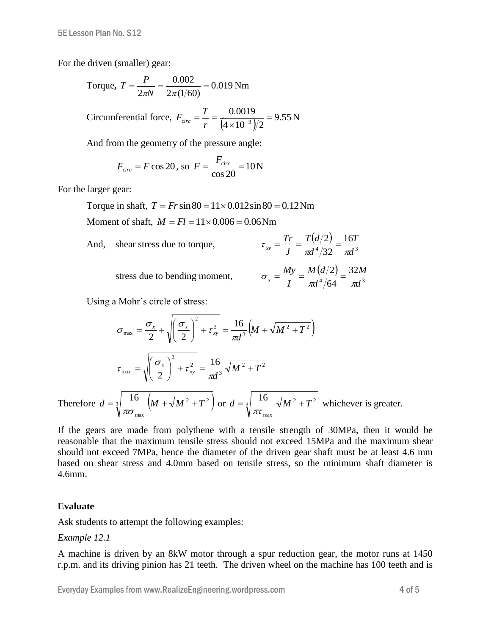For the driven (smaller) gear:

Torque, 
$$
T = \frac{P}{2\pi N} = \frac{0.002}{2\pi (1/60)} = 0.019 \text{ Nm}
$$
  
Circumferential force,  $F_{circ} = \frac{T}{r} = \frac{0.0019}{(4 \times 10^{-3})/2} = 9.55 \text{ N}$ 

And from the geometry of the pressure angle:

$$
F_{circ} = F \cos 20
$$
, so  $F = \frac{F_{circ}}{\cos 20} = 10$  N

For the larger gear:

Torque in shaft,  $T = Fr \sin 80 = 11 \times 0.012 \sin 80 = 0.12$  Nm

Moment of shaft,  $M = Fl = 11 \times 0.006 = 0.06$  Nm

And, shear stress due to torque, 
$$
\tau_{xy} = \frac{Tr}{J} = \frac{T(d/2)}{\pi d^4/32} = \frac{16T}{\pi d^3}
$$
  
stress due to bending moment,  $\sigma_x = \frac{My}{I} = \frac{M(y/2)}{\pi d^4/64} = \frac{32M}{\pi d^3}$ 

Using a Mohr's circle of stress:

$$
\sigma_{\text{max}} = \frac{\sigma_x}{2} + \sqrt{\left(\frac{\sigma_x}{2}\right)^2 + \tau_{xy}^2} = \frac{16}{\pi d^3} \left(M + \sqrt{M^2 + T^2}\right)
$$
\n
$$
\tau_{\text{max}} = \sqrt{\left(\frac{\sigma_x}{2}\right)^2 + \tau_{xy}^2} = \frac{16}{\pi d^3} \sqrt{M^2 + T^2}
$$
\nTherefore

\n
$$
d = \sqrt[3]{\frac{16}{\pi \sigma_{\text{max}}}} \left(M + \sqrt{M^2 + T^2}\right) \text{ or } d = \sqrt[3]{\frac{16}{\pi \tau_{\text{max}}}} \sqrt{M^2 + T^2} \text{ whichever is greater.}
$$

If the gears are made from polythene with a tensile strength of 30MPa, then it would be reasonable that the maximum tensile stress should not exceed 15MPa and the maximum shear should not exceed 7MPa, hence the diameter of the driven gear shaft must be at least 4.6 mm based on shear stress and 4.0mm based on tensile stress, so the minimum shaft diameter is 4.6mm.

#### **Evaluate**

Ask students to attempt the following examples:

#### *Example 12.1*

A machine is driven by an 8kW motor through a spur reduction gear, the motor runs at 1450 r.p.m. and its driving pinion has 21 teeth. The driven wheel on the machine has 100 teeth and is

Everyday Examples from www.RealizeEngineering.wordpress.com 4 of 5